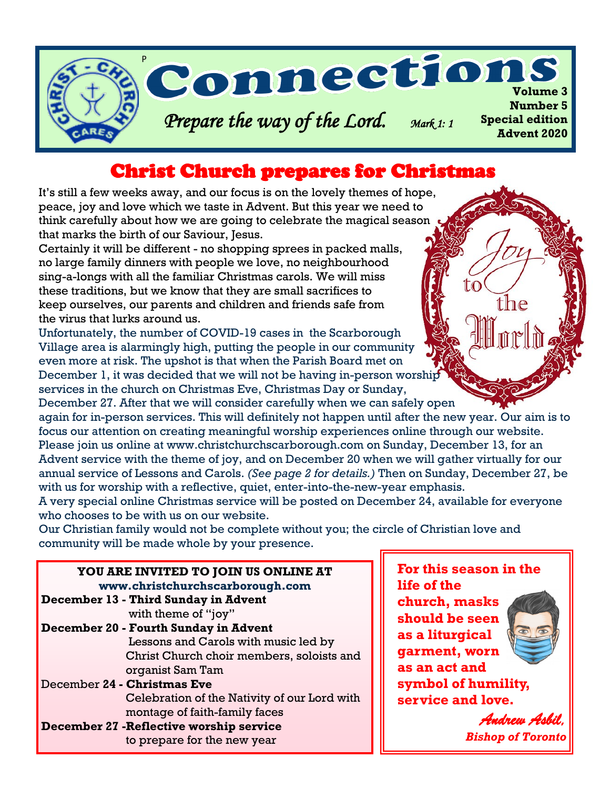

# Christ Church prepares for Christmas

It's still a few weeks away, and our focus is on the lovely themes of hope, peace, joy and love which we taste in Advent. But this year we need to think carefully about how we are going to celebrate the magical season that marks the birth of our Saviour, Jesus.

Certainly it will be different - no shopping sprees in packed malls, no large family dinners with people we love, no neighbourhood sing-a-longs with all the familiar Christmas carols. We will miss these traditions, but we know that they are small sacrifices to keep ourselves, our parents and children and friends safe from the virus that lurks around us.

Unfortunately, the number of COVID-19 cases in the Scarborough Village area is alarmingly high, putting the people in our community even more at risk. The upshot is that when the Parish Board met on December 1, it was decided that we will not be having in-person worshi services in the church on Christmas Eve, Christmas Day or Sunday,

December 27. After that we will consider carefully when we can safely open again for in-person services. This will definitely not happen until after the new year. Our aim is to focus our attention on creating meaningful worship experiences online through our website. Please join us online at www.christchurchscarborough.com on Sunday, December 13, for an Advent service with the theme of joy, and on December 20 when we will gather virtually for our annual service of Lessons and Carols. *(See page 2 for details.)* Then on Sunday, December 27, be with us for worship with a reflective, quiet, enter-into-the-new-year emphasis.

A very special online Christmas service will be posted on December 24, available for everyone who chooses to be with us on our website.

Our Christian family would not be complete without you; the circle of Christian love and community will be made whole by your presence.

| YOU ARE INVITED TO JOIN US ONLINE AT<br>www.christchurchscarborough.com |  |
|-------------------------------------------------------------------------|--|
| December 13 - Third Sunday in Advent                                    |  |
| with theme of "joy"                                                     |  |
| December 20 - Fourth Sunday in Advent                                   |  |
| Lessons and Carols with music led by                                    |  |
| Christ Church choir members, soloists and                               |  |
| organist Sam Tam                                                        |  |
| December 24 - Christmas Eve                                             |  |
| Celebration of the Nativity of our Lord with                            |  |
| montage of faith-family faces                                           |  |
| December 27 - Reflective worship service                                |  |
| to prepare for the new year                                             |  |

**For this season in the life of the** 

**church, masks should be seen as a liturgical garment, worn as an act and symbol of humility,** 



**service and love.** *Andrew Asbil,* 

*Bishop of Toronto*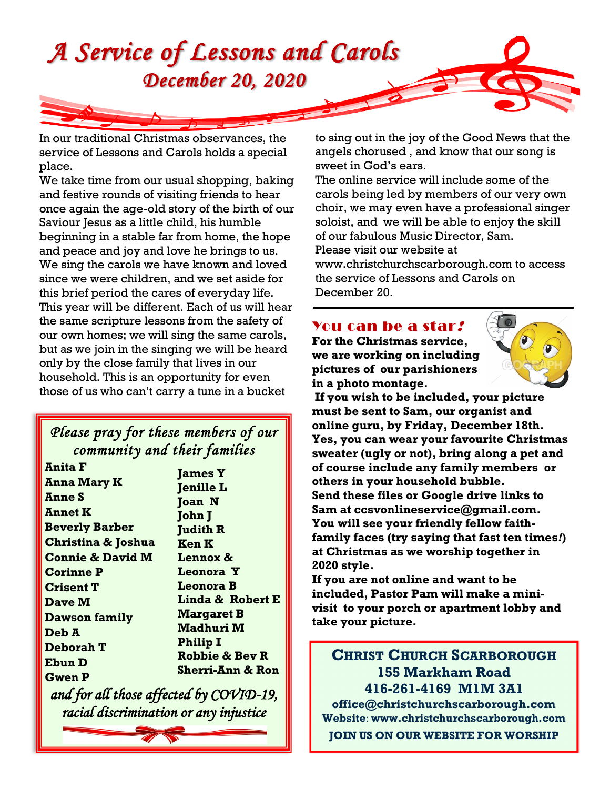

In our traditional Christmas observances, the service of Lessons and Carols holds a special place.

We take time from our usual shopping, baking and festive rounds of visiting friends to hear once again the age-old story of the birth of our Saviour Jesus as a little child, his humble beginning in a stable far from home, the hope and peace and joy and love he brings to us. We sing the carols we have known and loved since we were children, and we set aside for this brief period the cares of everyday life. This year will be different. Each of us will hear the same scripture lessons from the safety of our own homes; we will sing the same carols, but as we join in the singing we will be heard only by the close family that lives in our household. This is an opportunity for even those of us who can't carry a tune in a bucket

### *Please pray for these members of our community and their families*

| Anita F                                 |                                   |
|-----------------------------------------|-----------------------------------|
| <b>Anna Mary K</b>                      | <b>James Y</b>                    |
| <b>Anne S</b>                           | <b>Jenille L</b><br><b>Joan N</b> |
| <b>Annet K</b>                          | John J                            |
| <b>Beverly Barber</b>                   | <b>Judith R</b>                   |
| Christina & Joshua                      | Ken K                             |
| <b>Connie &amp; David M</b>             | Lennox &                          |
| <b>Corinne P</b>                        | Leonora Y                         |
| <b>Crisent T</b>                        | Leonora B                         |
| Dave M                                  | Linda & Robert E                  |
| <b>Dawson family</b>                    | <b>Margaret B</b>                 |
| $\mathbf{Deb}$ $\mathbf{\overline{A}}$  | Madhuri M                         |
| Deborah T                               | Philip I                          |
| Ebun D                                  | <b>Robbie &amp; Bev R</b>         |
| Gwen P                                  | Sherri-Ann & Ron                  |
| and for all those affected by COVID-19, |                                   |
| racial discrimination or any injustice  |                                   |

to sing out in the joy of the Good News that the angels chorused , and know that our song is sweet in God's ears.

The online service will include some of the carols being led by members of our very own choir, we may even have a professional singer soloist, and we will be able to enjoy the skill of our fabulous Music Director, Sam. Please visit our website at

www.christchurchscarborough.com to access the service of Lessons and Carols on December 20.

#### You can be a star*!*

**For the Christmas service, we are working on including pictures of our parishioners in a photo montage.**



**If you wish to be included, your picture must be sent to Sam, our organist and online guru, by Friday, December 18th. Yes, you can wear your favourite Christmas sweater (ugly or not), bring along a pet and of course include any family members or others in your household bubble. Send these files or Google drive links to Sam at ccsvonlineservice@gmail.com. You will see your friendly fellow faithfamily faces (try saying that fast ten times***!***) at Christmas as we worship together in 2020 style.** 

**If you are not online and want to be included, Pastor Pam will make a minivisit to your porch or apartment lobby and take your picture.**

#### **CHRIST CHURCH SCARBOROUGH 155 Markham Road 416-261-4169 M1M 3A1**

**office@christchurchscarborough.com Website**: **www.christchurchscarborough.com JOIN US ON OUR WEBSITE FOR WORSHIP**